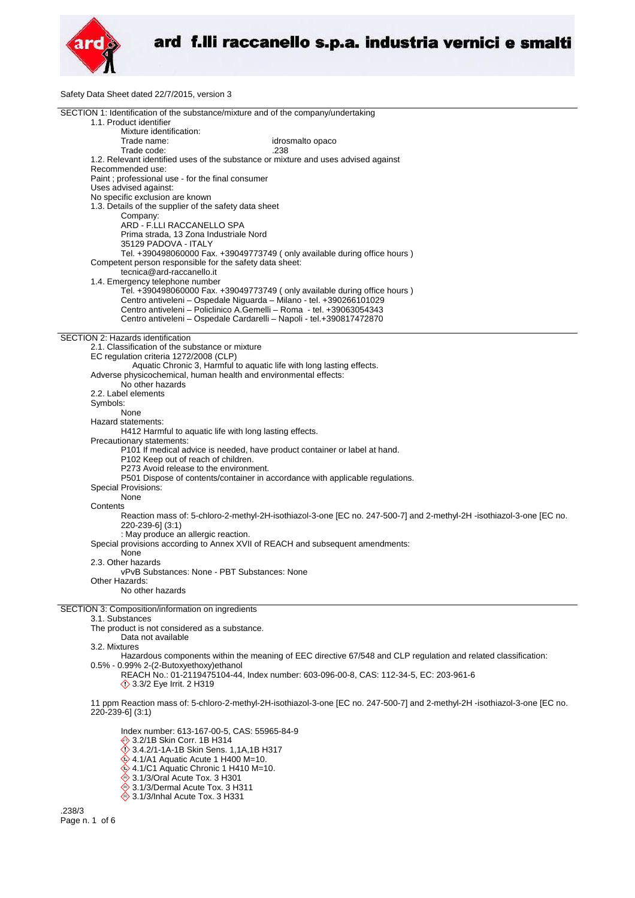

Safety Data Sheet dated 22/7/2015, version 3

| SECTION 1: Identification of the substance/mixture and of the company/undertaking                                               |
|---------------------------------------------------------------------------------------------------------------------------------|
| 1.1. Product identifier<br>Mixture identification:                                                                              |
| Trade name:<br>idrosmalto opaco                                                                                                 |
| Trade code:<br>.238                                                                                                             |
| 1.2. Relevant identified uses of the substance or mixture and uses advised against                                              |
| Recommended use:                                                                                                                |
| Paint; professional use - for the final consumer                                                                                |
| Uses advised against:                                                                                                           |
| No specific exclusion are known                                                                                                 |
| 1.3. Details of the supplier of the safety data sheet                                                                           |
| Company:<br>ARD - F.LLI RACCANELLO SPA                                                                                          |
| Prima strada, 13 Zona Industriale Nord                                                                                          |
| 35129 PADOVA - ITALY                                                                                                            |
| Tel. +390498060000 Fax. +39049773749 (only available during office hours)                                                       |
| Competent person responsible for the safety data sheet:                                                                         |
| tecnica@ard-raccanello.it                                                                                                       |
| 1.4. Emergency telephone number                                                                                                 |
| Tel. +390498060000 Fax. +39049773749 (only available during office hours)                                                       |
| Centro antiveleni - Ospedale Niguarda - Milano - tel. +390266101029                                                             |
| Centro antiveleni - Policlinico A.Gemelli - Roma - tel. +39063054343                                                            |
| Centro antiveleni - Ospedale Cardarelli - Napoli - tel.+390817472870                                                            |
| SECTION 2: Hazards identification                                                                                               |
| 2.1. Classification of the substance or mixture                                                                                 |
| EC regulation criteria 1272/2008 (CLP)                                                                                          |
| Aquatic Chronic 3, Harmful to aquatic life with long lasting effects.                                                           |
| Adverse physicochemical, human health and environmental effects:                                                                |
| No other hazards<br>2.2. Label elements                                                                                         |
| Symbols:                                                                                                                        |
| None                                                                                                                            |
| Hazard statements:                                                                                                              |
| H412 Harmful to aquatic life with long lasting effects.                                                                         |
| Precautionary statements:                                                                                                       |
| P101 If medical advice is needed, have product container or label at hand.                                                      |
| P102 Keep out of reach of children.                                                                                             |
| P273 Avoid release to the environment.                                                                                          |
| P501 Dispose of contents/container in accordance with applicable regulations.<br>Special Provisions:                            |
| None                                                                                                                            |
| Contents                                                                                                                        |
| Reaction mass of: 5-chloro-2-methyl-2H-isothiazol-3-one [EC no. 247-500-7] and 2-methyl-2H -isothiazol-3-one [EC no.            |
| 220-239-6] (3:1)                                                                                                                |
| : May produce an allergic reaction.                                                                                             |
| Special provisions according to Annex XVII of REACH and subsequent amendments:                                                  |
| None                                                                                                                            |
| 2.3. Other hazards                                                                                                              |
| vPvB Substances: None - PBT Substances: None<br>Other Hazards:                                                                  |
| No other hazards                                                                                                                |
|                                                                                                                                 |
| SECTION 3: Composition/information on ingredients                                                                               |
| 3.1. Substances                                                                                                                 |
| The product is not considered as a substance.                                                                                   |
| Data not available                                                                                                              |
| 3.2. Mixtures<br>Hazardous components within the meaning of EEC directive 67/548 and CLP regulation and related classification: |
| 0.5% - 0.99% 2-(2-Butoxyethoxy) ethanol                                                                                         |
| REACH No.: 01-2119475104-44, Index number: 603-096-00-8, CAS: 112-34-5, EC: 203-961-6                                           |
| <b>◯ 3.3/2 Eye Irrit. 2 H319</b>                                                                                                |
|                                                                                                                                 |
| 11 ppm Reaction mass of: 5-chloro-2-methyl-2H-isothiazol-3-one [EC no. 247-500-7] and 2-methyl-2H-isothiazol-3-one [EC no.      |
| 220-239-6] (3:1)                                                                                                                |
| Index number: 613-167-00-5, CAS: 55965-84-9                                                                                     |
| → 3.2/1B Skin Corr. 1B H314                                                                                                     |
| 3.4.2/1-1A-1B Skin Sens. 1,1A,1B H317                                                                                           |
| $\leftrightarrow$ 4.1/A1 Aquatic Acute 1 H400 M=10.                                                                             |

4.1/C1 Aquatic Chronic 1 H410 M=10.

- 
- 3.1/3/Oral Acute Tox. 3 H301
- 3.1/3/Dermal Acute Tox. 3 H311
- 3.1/3/Inhal Acute Tox. 3 H331

.238/3 Page n. 1 of 6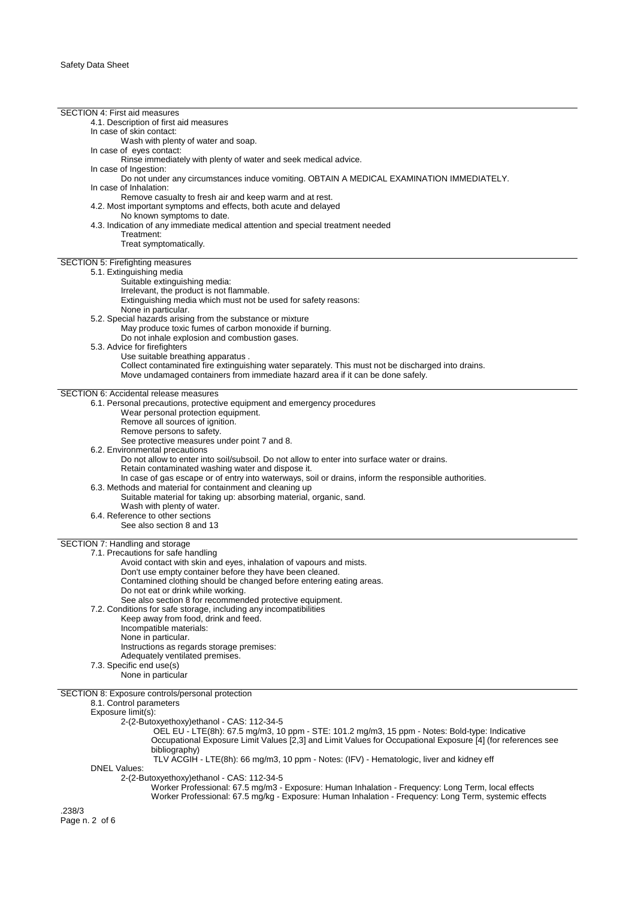| <b>SECTION 4: First aid measures</b>                                                                        |
|-------------------------------------------------------------------------------------------------------------|
|                                                                                                             |
| 4.1. Description of first aid measures                                                                      |
| In case of skin contact:                                                                                    |
| Wash with plenty of water and soap.                                                                         |
| In case of eyes contact:                                                                                    |
| Rinse immediately with plenty of water and seek medical advice.                                             |
| In case of Ingestion:                                                                                       |
| Do not under any circumstances induce vomiting. OBTAIN A MEDICAL EXAMINATION IMMEDIATELY.                   |
| In case of Inhalation:                                                                                      |
| Remove casualty to fresh air and keep warm and at rest.                                                     |
|                                                                                                             |
| 4.2. Most important symptoms and effects, both acute and delayed                                            |
| No known symptoms to date.                                                                                  |
| 4.3. Indication of any immediate medical attention and special treatment needed                             |
| Treatment:                                                                                                  |
| Treat symptomatically.                                                                                      |
|                                                                                                             |
| SECTION 5: Firefighting measures                                                                            |
| 5.1. Extinguishing media                                                                                    |
| Suitable extinguishing media:                                                                               |
| Irrelevant, the product is not flammable.                                                                   |
| Extinguishing media which must not be used for safety reasons:                                              |
| None in particular.                                                                                         |
| 5.2. Special hazards arising from the substance or mixture                                                  |
| May produce toxic fumes of carbon monoxide if burning.                                                      |
| Do not inhale explosion and combustion gases.                                                               |
| 5.3. Advice for firefighters                                                                                |
| Use suitable breathing apparatus.                                                                           |
| Collect contaminated fire extinguishing water separately. This must not be discharged into drains.          |
| Move undamaged containers from immediate hazard area if it can be done safely.                              |
|                                                                                                             |
| <b>SECTION 6: Accidental release measures</b>                                                               |
| 6.1. Personal precautions, protective equipment and emergency procedures                                    |
| Wear personal protection equipment.                                                                         |
| Remove all sources of ignition.                                                                             |
| Remove persons to safety.                                                                                   |
| See protective measures under point 7 and 8.                                                                |
| 6.2. Environmental precautions                                                                              |
| Do not allow to enter into soil/subsoil. Do not allow to enter into surface water or drains.                |
|                                                                                                             |
| Retain contaminated washing water and dispose it.                                                           |
| In case of gas escape or of entry into waterways, soil or drains, inform the responsible authorities.       |
| 6.3. Methods and material for containment and cleaning up                                                   |
| Suitable material for taking up: absorbing material, organic, sand.                                         |
| Wash with plenty of water.                                                                                  |
| 6.4. Reference to other sections                                                                            |
| See also section 8 and 13                                                                                   |
|                                                                                                             |
| SECTION 7: Handling and storage                                                                             |
| 7.1. Precautions for safe handling                                                                          |
| Avoid contact with skin and eyes, inhalation of vapours and mists.                                          |
| Don't use empty container before they have been cleaned.                                                    |
| Contamined clothing should be changed before entering eating areas.                                         |
| Do not eat or drink while working.                                                                          |
| See also section 8 for recommended protective equipment.                                                    |
|                                                                                                             |
| 7.2. Conditions for safe storage, including any incompatibilities                                           |
| Keep away from food, drink and feed.                                                                        |
|                                                                                                             |
| Incompatible materials:                                                                                     |
| None in particular.                                                                                         |
| Instructions as regards storage premises:                                                                   |
| Adequately ventilated premises.                                                                             |
| 7.3. Specific end use(s)                                                                                    |
| None in particular                                                                                          |
|                                                                                                             |
| SECTION 8: Exposure controls/personal protection                                                            |
| 8.1. Control parameters                                                                                     |
| Exposure limit(s):                                                                                          |
| 2-(2-Butoxyethoxy)ethanol - CAS: 112-34-5                                                                   |
| OEL EU - LTE(8h): 67.5 mg/m3, 10 ppm - STE: 101.2 mg/m3, 15 ppm - Notes: Bold-type: Indicative              |
| Occupational Exposure Limit Values [2,3] and Limit Values for Occupational Exposure [4] (for references see |
| bibliography)                                                                                               |
| TLV ACGIH - LTE(8h): 66 mg/m3, 10 ppm - Notes: (IFV) - Hematologic, liver and kidney eff                    |
| <b>DNEL Values:</b>                                                                                         |
| 2-(2-Butoxyethoxy) ethanol - CAS: 112-34-5                                                                  |
| Worker Professional: 67.5 mg/m3 - Exposure: Human Inhalation - Frequency: Long Term, local effects          |
| Worker Professional: 67.5 mg/kg - Exposure: Human Inhalation - Frequency: Long Term, systemic effects       |
| .238/3                                                                                                      |
| Page n. 2 of 6                                                                                              |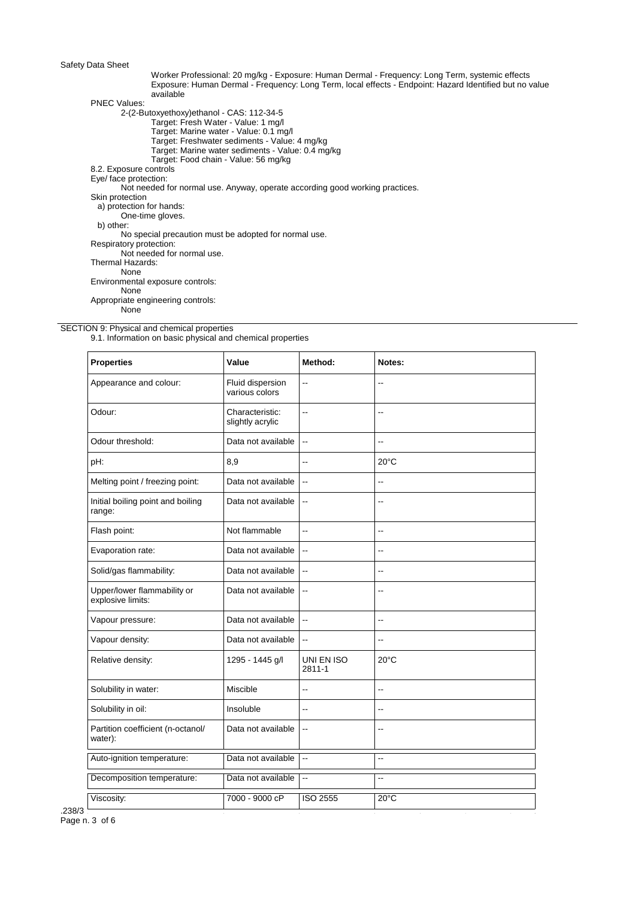Worker Professional: 20 mg/kg - Exposure: Human Dermal - Frequency: Long Term, systemic effects Exposure: Human Dermal - Frequency: Long Term, local effects - Endpoint: Hazard Identified but no value available PNEC Values: 2-(2-Butoxyethoxy)ethanol - CAS: 112-34-5

Target: Fresh Water - Value: 1 mg/l Target: Marine water - Value: 0.1 mg/l Target: Freshwater sediments - Value: 4 mg/kg Target: Marine water sediments - Value: 0.4 mg/kg Target: Food chain - Value: 56 mg/kg 8.2. Exposure controls Eye/ face protection: Not needed for normal use. Anyway, operate according good working practices. Skin protection a) protection for hands: One-time gloves. b) other: No special precaution must be adopted for normal use. Respiratory protection: Not needed for normal use. Thermal Hazards: None Environmental exposure controls: None Appropriate engineering controls: None

SECTION 9: Physical and chemical properties

9.1. Information on basic physical and chemical properties

| <b>Properties</b>                                | Value                               | Method:                                       | Notes:         |
|--------------------------------------------------|-------------------------------------|-----------------------------------------------|----------------|
| Appearance and colour:                           | Fluid dispersion<br>various colors  | $\overline{\phantom{a}}$                      | --             |
| Odour:                                           | Characteristic:<br>slightly acrylic | --                                            | --             |
| Odour threshold:                                 | Data not available                  | $\ddotsc$                                     | Ξ.             |
| pH:                                              | 8,9                                 | --                                            | $20^{\circ}$ C |
| Melting point / freezing point:                  | Data not available                  | $\ddotsc$                                     | Ξ.             |
| Initial boiling point and boiling<br>range:      | Data not available                  | $\overline{\phantom{a}}$                      | --             |
| Flash point:                                     | Not flammable                       | μ.                                            | --             |
| Evaporation rate:                                | Data not available                  | $\overline{\phantom{a}}$                      | --             |
| Solid/gas flammability:                          | Data not available                  | $\overline{\phantom{a}}$                      | $-$            |
| Upper/lower flammability or<br>explosive limits: | Data not available                  | $\overline{\phantom{a}}$                      | $\sim$         |
| Vapour pressure:                                 | Data not available                  | $\overline{\phantom{a}}$                      | Ξ.             |
| Vapour density:                                  | Data not available                  | $\mathord{\hspace{1pt}\text{--}\hspace{1pt}}$ | --             |
| Relative density:                                | 1295 - 1445 g/l                     | UNI EN ISO<br>2811-1                          | $20^{\circ}$ C |
| Solubility in water:                             | Miscible                            | --                                            | --             |
| Solubility in oil:                               | Insoluble                           | ٠.                                            | $\overline{a}$ |
| Partition coefficient (n-octanol/<br>water):     | Data not available                  | $\overline{\phantom{a}}$                      | --             |
| Auto-ignition temperature:                       | Data not available                  | ä.                                            | Ξ.             |
| Decomposition temperature:                       | Data not available                  | $\overline{\phantom{a}}$                      | --             |
| Viscosity:                                       | 7000 - 9000 cP                      | <b>ISO 2555</b>                               | $20^{\circ}$ C |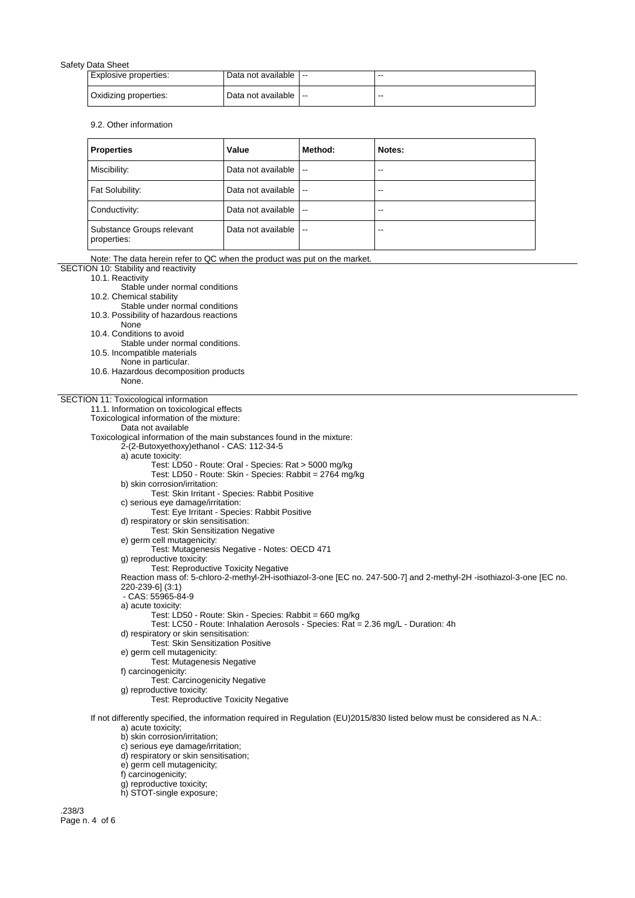| Explosive properties: | Data not available $  -$ | --    |
|-----------------------|--------------------------|-------|
| Oxidizing properties: | ∪Data not available   -- | $- -$ |

9.2. Other information

| Properties                               | Value              | Method:                  | Notes: |
|------------------------------------------|--------------------|--------------------------|--------|
| Miscibility:                             | Data not available | $\mathbf{u}$             | $-$    |
| Fat Solubility:                          | Data not available | $\sim$ $\sim$            | $-$    |
| Conductivity:                            | Data not available | $\overline{\phantom{a}}$ | $-$    |
| Substance Groups relevant<br>properties: | Data not available | $\sim$ $\sim$            | $- -$  |

Note: The data herein refer to QC when the product was put on the market.

SECTION 10: Stability and reactivity

10.1. Reactivity

Stable under normal conditions

10.2. Chemical stability

Stable under normal conditions

10.3. Possibility of hazardous reactions

- None
- 10.4. Conditions to avoid
	- Stable under normal conditions.
- 10.5. Incompatible materials
- None in particular.
- 10.6. Hazardous decomposition products
- None.

## SECTION 11: Toxicological information

11.1. Information on toxicological effects

Toxicological information of the mixture:

Data not available

Toxicological information of the main substances found in the mixture:

2-(2-Butoxyethoxy)ethanol - CAS: 112-34-5

a) acute toxicity:

- Test: LD50 Route: Oral Species: Rat > 5000 mg/kg
	- Test: LD50 Route: Skin Species: Rabbit = 2764 mg/kg

b) skin corrosion/irritation:

- Test: Skin Irritant Species: Rabbit Positive
- c) serious eye damage/irritation:
- Test: Eye Irritant Species: Rabbit Positive
- d) respiratory or skin sensitisation: Test: Skin Sensitization Negative
- e) germ cell mutagenicity:
- Test: Mutagenesis Negative Notes: OECD 471
- g) reproductive toxicity:
- Test: Reproductive Toxicity Negative

Reaction mass of: 5-chloro-2-methyl-2H-isothiazol-3-one [EC no. 247-500-7] and 2-methyl-2H -isothiazol-3-one [EC no. 220-239-6] (3:1)

- CAS: 55965-84-9
- a) acute toxicity:

Test: LD50 - Route: Skin - Species: Rabbit = 660 mg/kg

- Test: LC50 Route: Inhalation Aerosols Species: Rat = 2.36 mg/L Duration: 4h
- d) respiratory or skin sensitisation:
	- Test: Skin Sensitization Positive
- e) germ cell mutagenicity: Test: Mutagenesis Negative
- f) carcinogenicity:
- 
- Test: Carcinogenicity Negative g) reproductive toxicity:
	- Test: Reproductive Toxicity Negative

If not differently specified, the information required in Regulation (EU)2015/830 listed below must be considered as N.A.: a) acute toxicity;

- b) skin corrosion/irritation;
- c) serious eye damage/irritation;
- d) respiratory or skin sensitisation;
- e) germ cell mutagenicity;
- f) carcinogenicity;
- 
- g) reproductive toxicity;
- h) STOT-single exposure;

.238/3 Page n. 4 of 6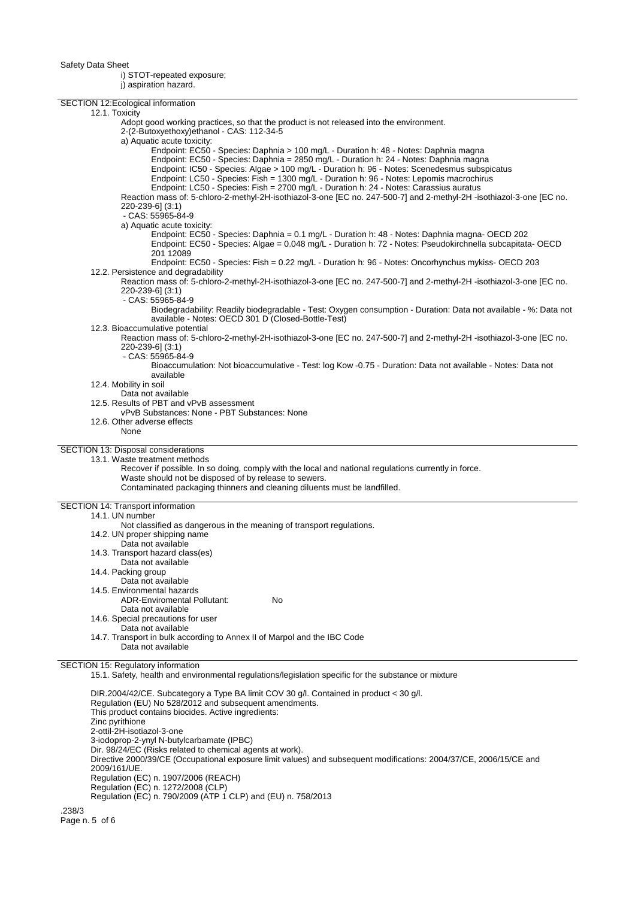i) STOT-repeated exposure;

j) aspiration hazard.

| SECTION 12: Ecological information                                                                                                                                            |
|-------------------------------------------------------------------------------------------------------------------------------------------------------------------------------|
| 12.1. Toxicity                                                                                                                                                                |
| Adopt good working practices, so that the product is not released into the environment.                                                                                       |
| 2-(2-Butoxyethoxy)ethanol - CAS: 112-34-5                                                                                                                                     |
| a) Aquatic acute toxicity:                                                                                                                                                    |
| Endpoint: EC50 - Species: Daphnia > 100 mg/L - Duration h: 48 - Notes: Daphnia magna<br>Endpoint: EC50 - Species: Daphnia = 2850 mg/L - Duration h: 24 - Notes: Daphnia magna |
| Endpoint: IC50 - Species: Algae > 100 mg/L - Duration h: 96 - Notes: Scenedesmus subspicatus                                                                                  |
| Endpoint: LC50 - Species: Fish = 1300 mg/L - Duration h: 96 - Notes: Lepomis macrochirus                                                                                      |
| Endpoint: LC50 - Species: Fish = 2700 mg/L - Duration h: 24 - Notes: Carassius auratus                                                                                        |
| Reaction mass of: 5-chloro-2-methyl-2H-isothiazol-3-one [EC no. 247-500-7] and 2-methyl-2H-isothiazol-3-one [EC no.                                                           |
| 220-239-6] (3:1)<br>- CAS: 55965-84-9                                                                                                                                         |
| a) Aquatic acute toxicity:                                                                                                                                                    |
| Endpoint: EC50 - Species: Daphnia = 0.1 mg/L - Duration h: 48 - Notes: Daphnia magna- OECD 202                                                                                |
| Endpoint: EC50 - Species: Algae = 0.048 mg/L - Duration h: 72 - Notes: Pseudokirchnella subcapitata- OECD                                                                     |
| 201 12089                                                                                                                                                                     |
| Endpoint: EC50 - Species: Fish = 0.22 mg/L - Duration h: 96 - Notes: Oncorhynchus mykiss- OECD 203<br>12.2. Persistence and degradability                                     |
| Reaction mass of: 5-chloro-2-methyl-2H-isothiazol-3-one [EC no. 247-500-7] and 2-methyl-2H-isothiazol-3-one [EC no.                                                           |
| 220-239-6] (3:1)                                                                                                                                                              |
| - CAS: 55965-84-9                                                                                                                                                             |
| Biodegradability: Readily biodegradable - Test: Oxygen consumption - Duration: Data not available - %: Data not                                                               |
| available - Notes: OECD 301 D (Closed-Bottle-Test)                                                                                                                            |
| 12.3. Bioaccumulative potential<br>Reaction mass of: 5-chloro-2-methyl-2H-isothiazol-3-one [EC no. 247-500-7] and 2-methyl-2H-isothiazol-3-one [EC no.                        |
| 220-239-6] (3:1)                                                                                                                                                              |
| - CAS: 55965-84-9                                                                                                                                                             |
| Bioaccumulation: Not bioaccumulative - Test: log Kow -0.75 - Duration: Data not available - Notes: Data not                                                                   |
| available<br>12.4. Mobility in soil                                                                                                                                           |
| Data not available                                                                                                                                                            |
| 12.5. Results of PBT and vPvB assessment                                                                                                                                      |
| vPvB Substances: None - PBT Substances: None                                                                                                                                  |
| 12.6. Other adverse effects<br>None                                                                                                                                           |
|                                                                                                                                                                               |
| SECTION 13: Disposal considerations                                                                                                                                           |
| 13.1. Waste treatment methods                                                                                                                                                 |
| Recover if possible. In so doing, comply with the local and national regulations currently in force.                                                                          |
| Waste should not be disposed of by release to sewers.<br>Contaminated packaging thinners and cleaning diluents must be landfilled.                                            |
|                                                                                                                                                                               |
| SECTION 14: Transport information                                                                                                                                             |
| 14.1. UN number                                                                                                                                                               |
| Not classified as dangerous in the meaning of transport regulations.                                                                                                          |
| 14.2. UN proper shipping name<br>Data not available                                                                                                                           |
| 14.3. Transport hazard class(es)                                                                                                                                              |
| Data not available                                                                                                                                                            |
| 14.4. Packing group                                                                                                                                                           |
| Data not available                                                                                                                                                            |
| 14.5. Environmental hazards<br><b>ADR-Enviromental Pollutant:</b><br>No                                                                                                       |
| Data not available                                                                                                                                                            |
| 14.6. Special precautions for user                                                                                                                                            |
| Data not available                                                                                                                                                            |
| 14.7. Transport in bulk according to Annex II of Marpol and the IBC Code<br>Data not available                                                                                |
|                                                                                                                                                                               |
| SECTION 15: Regulatory information                                                                                                                                            |
| 15.1. Safety, health and environmental regulations/legislation specific for the substance or mixture                                                                          |
|                                                                                                                                                                               |
| DIR.2004/42/CE. Subcategory a Type BA limit COV 30 g/l. Contained in product < 30 g/l.<br>Regulation (EU) No 528/2012 and subsequent amendments.                              |
| This product contains biocides. Active ingredients:                                                                                                                           |
| Zinc pyrithione                                                                                                                                                               |
| 2-ottil-2H-isotiazol-3-one                                                                                                                                                    |
| 3-iodoprop-2-ynyl N-butylcarbamate (IPBC)<br>Dir. 98/24/EC (Risks related to chemical agents at work).                                                                        |
| Directive 2000/39/CE (Occupational exposure limit values) and subsequent modifications: 2004/37/CE, 2006/15/CE and                                                            |
| 2009/161/UE.                                                                                                                                                                  |
| Regulation (EC) n. 1907/2006 (REACH)                                                                                                                                          |
|                                                                                                                                                                               |
| Regulation (EC) n. 1272/2008 (CLP)                                                                                                                                            |
| Regulation (EC) n. 790/2009 (ATP 1 CLP) and (EU) n. 758/2013<br>220/2                                                                                                         |

.238/3 Page n. 5 of 6